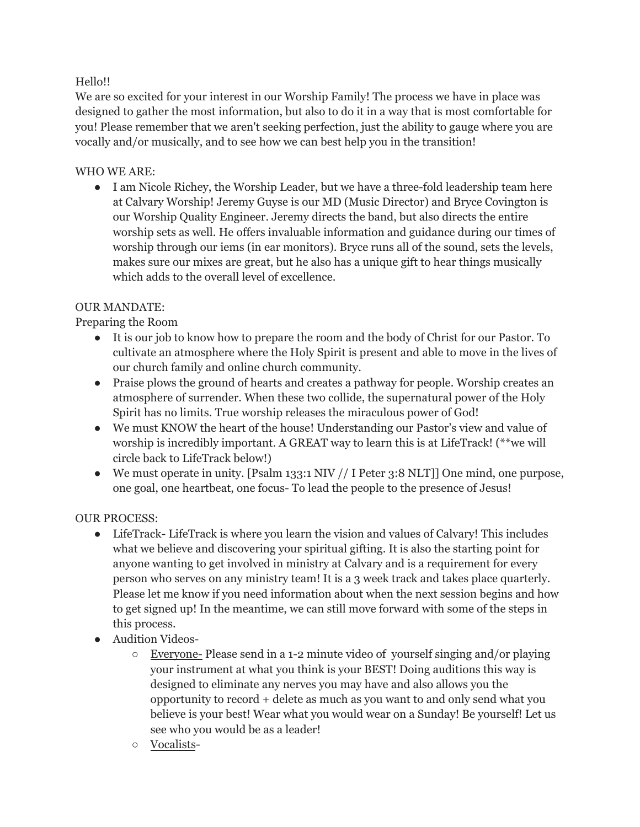# Hello!!

We are so excited for your interest in our Worship Family! The process we have in place was designed to gather the most information, but also to do it in a way that is most comfortable for you! Please remember that we aren't seeking perfection, just the ability to gauge where you are vocally and/or musically, and to see how we can best help you in the transition!

# WHO WE ARE:

● I am Nicole Richey, the Worship Leader, but we have a three-fold leadership team here at Calvary Worship! Jeremy Guyse is our MD (Music Director) and Bryce Covington is our Worship Quality Engineer. Jeremy directs the band, but also directs the entire worship sets as well. He offers invaluable information and guidance during our times of worship through our iems (in ear monitors). Bryce runs all of the sound, sets the levels, makes sure our mixes are great, but he also has a unique gift to hear things musically which adds to the overall level of excellence.

### OUR MANDATE:

Preparing the Room

- It is our job to know how to prepare the room and the body of Christ for our Pastor. To cultivate an atmosphere where the Holy Spirit is present and able to move in the lives of our church family and online church community.
- Praise plows the ground of hearts and creates a pathway for people. Worship creates an atmosphere of surrender. When these two collide, the supernatural power of the Holy Spirit has no limits. True worship releases the miraculous power of God!
- We must KNOW the heart of the house! Understanding our Pastor's view and value of worship is incredibly important. A GREAT way to learn this is at LifeTrack! (\*\*we will circle back to LifeTrack below!)
- We must operate in unity. [Psalm 133:1 NIV // I Peter 3:8 NLT]] One mind, one purpose, one goal, one heartbeat, one focus- To lead the people to the presence of Jesus!

### OUR PROCESS:

- LifeTrack- LifeTrack is where you learn the vision and values of Calvary! This includes what we believe and discovering your spiritual gifting. It is also the starting point for anyone wanting to get involved in ministry at Calvary and is a requirement for every person who serves on any ministry team! It is a 3 week track and takes place quarterly. Please let me know if you need information about when the next session begins and how to get signed up! In the meantime, we can still move forward with some of the steps in this process.
- Audition Videos-
	- Everyone- Please send in a 1-2 minute video of yourself singing and/or playing your instrument at what you think is your BEST! Doing auditions this way is designed to eliminate any nerves you may have and also allows you the opportunity to record + delete as much as you want to and only send what you believe is your best! Wear what you would wear on a Sunday! Be yourself! Let us see who you would be as a leader!
	- Vocalists-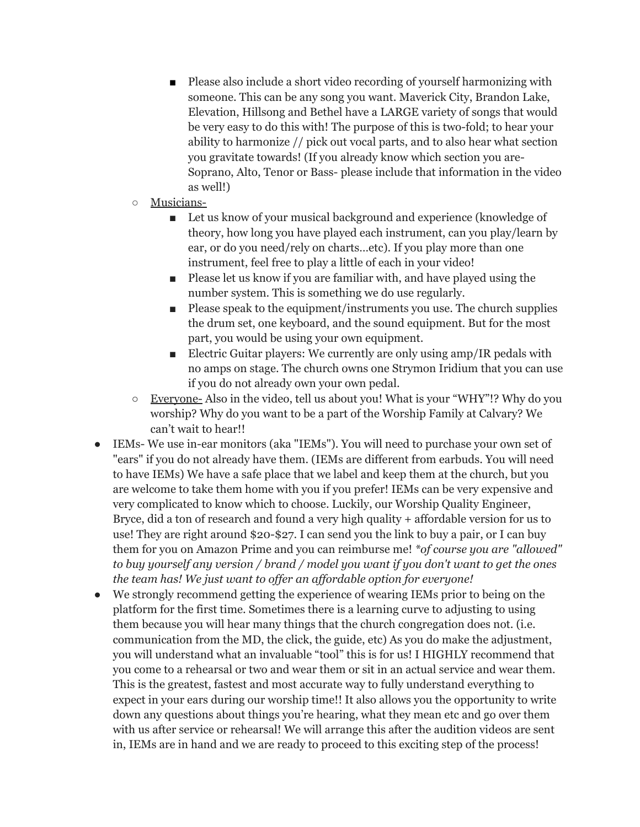- Please also include a short video recording of yourself harmonizing with someone. This can be any song you want. Maverick City, Brandon Lake, Elevation, Hillsong and Bethel have a LARGE variety of songs that would be very easy to do this with! The purpose of this is two-fold; to hear your ability to harmonize // pick out vocal parts, and to also hear what section you gravitate towards! (If you already know which section you are-Soprano, Alto, Tenor or Bass- please include that information in the video as well!)
- Musicians-
	- Let us know of your musical background and experience (knowledge of theory, how long you have played each instrument, can you play/learn by ear, or do you need/rely on charts…etc). If you play more than one instrument, feel free to play a little of each in your video!
	- Please let us know if you are familiar with, and have played using the number system. This is something we do use regularly.
	- Please speak to the equipment/instruments you use. The church supplies the drum set, one keyboard, and the sound equipment. But for the most part, you would be using your own equipment.
	- Electric Guitar players: We currently are only using amp/IR pedals with no amps on stage. The church owns one Strymon Iridium that you can use if you do not already own your own pedal.
- Everyone- Also in the video, tell us about you! What is your "WHY"!? Why do you worship? Why do you want to be a part of the Worship Family at Calvary? We can't wait to hear!!
- IEMs- We use in-ear monitors (aka "IEMs"). You will need to purchase your own set of "ears" if you do not already have them. (IEMs are different from earbuds. You will need to have IEMs) We have a safe place that we label and keep them at the church, but you are welcome to take them home with you if you prefer! IEMs can be very expensive and very complicated to know which to choose. Luckily, our Worship Quality Engineer, Bryce, did a ton of research and found a very high quality + affordable version for us to use! They are right around \$20-\$27. I can send you the link to buy a pair, or I can buy them for you on Amazon Prime and you can reimburse me! *\*of course you are "allowed" to buy yourself any version / brand / model you want if you don't want to get the ones the team has! We just want to of er an af ordable option for everyone!*
- We strongly recommend getting the experience of wearing IEMs prior to being on the platform for the first time. Sometimes there is a learning curve to adjusting to using them because you will hear many things that the church congregation does not. (i.e. communication from the MD, the click, the guide, etc) As you do make the adjustment, you will understand what an invaluable "tool" this is for us! I HIGHLY recommend that you come to a rehearsal or two and wear them or sit in an actual service and wear them. This is the greatest, fastest and most accurate way to fully understand everything to expect in your ears during our worship time!! It also allows you the opportunity to write down any questions about things you're hearing, what they mean etc and go over them with us after service or rehearsal! We will arrange this after the audition videos are sent in, IEMs are in hand and we are ready to proceed to this exciting step of the process!